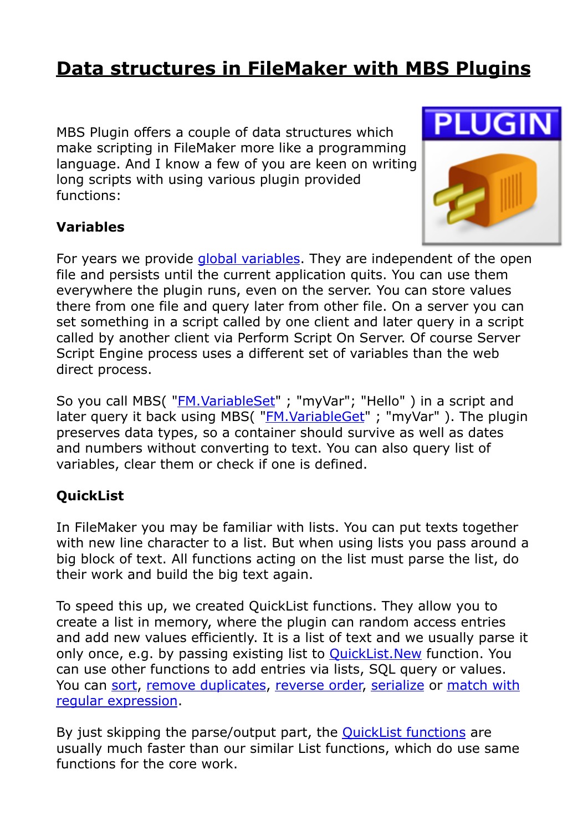## **[Data structures in FileMaker with MBS Plugins](https://www.mbs-plugins.com/archive/2017-10-19/Data_structures_in_FileMaker_w/monkeybreadsoftware_blog_filemaker)**

MBS Plugin offers a couple of data structures which make scripting in FileMaker more like a programming language. And I know a few of you are keen on writing long scripts with using various plugin provided functions:



## **Variables**

For years we provide [global variables.](http://www.mbsplugins.eu/component_Variables.shtml) They are independent of the open file and persists until the current application quits. You can use them everywhere the plugin runs, even on the server. You can store values there from one file and query later from other file. On a server you can set something in a script called by one client and later query in a script called by another client via Perform Script On Server. Of course Server Script Engine process uses a different set of variables than the web direct process.

So you call MBS("*[FM.VariableSet](http://www.mbsplugins.eu/FMVariableSet.shtml)"*; "myVar"; "Hello") in a script and later query it back using MBS( ["FM.VariableGet](http://www.mbsplugins.eu/FMVariableGet.shtml)" ; "myVar" ). The plugin preserves data types, so a container should survive as well as dates and numbers without converting to text. You can also query list of variables, clear them or check if one is defined.

## **QuickList**

In FileMaker you may be familiar with lists. You can put texts together with new line character to a list. But when using lists you pass around a big block of text. All functions acting on the list must parse the list, do their work and build the big text again.

To speed this up, we created QuickList functions. They allow you to create a list in memory, where the plugin can random access entries and add new values efficiently. It is a list of text and we usually parse it only once, e.g. by passing existing list to [QuickList.New](http://www.mbsplugins.eu/QuickListNew.shtml) function. You can use other functions to add entries via lists, SQL query or values. You can [sort](http://www.mbsplugins.eu/QuickListSort.shtml), [remove duplicates](http://www.mbsplugins.eu/QuickListRemoveDuplicateItems.shtml), [reverse order,](http://www.mbsplugins.eu/QuickListReserve.shtml) [serialize](http://www.mbsplugins.eu/QuickListSerialize.shtml) or [match with](http://www.mbsplugins.eu/QuickListRegExMatch.shtml)  [regular expression](http://www.mbsplugins.eu/QuickListRegExMatch.shtml).

By just skipping the parse/output part, the [QuickList functions](http://www.mbsplugins.eu/component_List.shtml) are usually much faster than our similar List functions, which do use same functions for the core work.